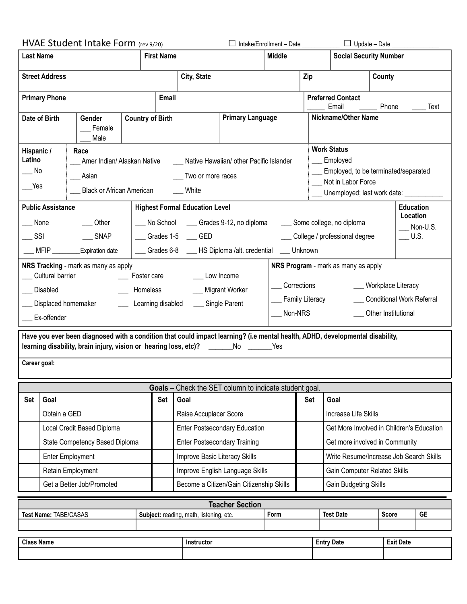|                                                                                                                                                                                                                      |                                | HVAE Student Intake Form (rev 9/20) |                                 |                                          |  | □ Intake/Enrollment - Date ___________ □ Update - Date __________ |                                |                                                        |                                                            |                               |           |  |
|----------------------------------------------------------------------------------------------------------------------------------------------------------------------------------------------------------------------|--------------------------------|-------------------------------------|---------------------------------|------------------------------------------|--|-------------------------------------------------------------------|--------------------------------|--------------------------------------------------------|------------------------------------------------------------|-------------------------------|-----------|--|
| <b>Last Name</b>                                                                                                                                                                                                     |                                |                                     |                                 | <b>First Name</b>                        |  |                                                                   | <b>Middle</b>                  |                                                        |                                                            | <b>Social Security Number</b> |           |  |
| <b>Street Address</b>                                                                                                                                                                                                |                                |                                     | City, State                     |                                          |  |                                                                   | Zip                            |                                                        | County                                                     |                               |           |  |
| <b>Primary Phone</b>                                                                                                                                                                                                 |                                |                                     |                                 | Email                                    |  |                                                                   |                                |                                                        | <b>Preferred Contact</b><br>Email<br>Phone<br>Text         |                               |           |  |
| Date of Birth<br>Gender<br>Female<br>Male                                                                                                                                                                            |                                |                                     | <b>Country of Birth</b>         | <b>Primary Language</b>                  |  |                                                                   |                                | <b>Nickname/Other Name</b>                             |                                                            |                               |           |  |
| Hispanic /<br>Race<br>Latino<br>Amer Indian/ Alaskan Native                                                                                                                                                          |                                |                                     |                                 | Native Hawaiian/ other Pacific Islander  |  |                                                                   |                                | <b>Work Status</b><br>Employed                         |                                                            |                               |           |  |
| No<br>Asian                                                                                                                                                                                                          |                                |                                     |                                 | Two or more races                        |  |                                                                   |                                | Employed, to be terminated/separated                   |                                                            |                               |           |  |
| Yes<br><b>Black or African American</b>                                                                                                                                                                              |                                |                                     |                                 | White                                    |  |                                                                   |                                |                                                        | Not in Labor Force<br>Unemployed; last work date: ________ |                               |           |  |
| <b>Public Assistance</b><br><b>Highest Formal Education Level</b><br><b>Education</b>                                                                                                                                |                                |                                     |                                 |                                          |  |                                                                   |                                |                                                        |                                                            |                               |           |  |
| $\_\_$ Other<br>None                                                                                                                                                                                                 |                                |                                     |                                 | No School ______ Grades 9-12, no diploma |  |                                                                   |                                | Location<br>____ Some college, no diploma<br>Non-U.S.  |                                                            |                               |           |  |
| SSI<br>$\sqrt{\phantom{a}}$ SNAP                                                                                                                                                                                     |                                |                                     |                                 | Grades 1-5 ___ GED                       |  |                                                                   |                                | College / professional degree<br>$\_$ U.S.             |                                                            |                               |           |  |
| _MFIP __________Expiration date<br>___ Grades 6-8 ___ HS Diploma /alt. credential ___ Unknown                                                                                                                        |                                |                                     |                                 |                                          |  |                                                                   |                                |                                                        |                                                            |                               |           |  |
| NRS Program - mark as many as apply<br>NRS Tracking - mark as many as apply                                                                                                                                          |                                |                                     |                                 |                                          |  |                                                                   |                                |                                                        |                                                            |                               |           |  |
| Cultural barrier<br>Low Income<br>___ Foster care<br>Corrections<br>___ Workplace Literacy                                                                                                                           |                                |                                     |                                 |                                          |  |                                                                   |                                |                                                        |                                                            |                               |           |  |
| __ Migrant Worker<br>Disabled<br>___ Homeless<br>Displaced homemaker<br>Learning disabled                                                                                                                            |                                |                                     |                                 |                                          |  |                                                                   |                                | __ Family Literacy<br><b>Conditional Work Referral</b> |                                                            |                               |           |  |
|                                                                                                                                                                                                                      | Ex-offender                    |                                     |                                 | __ Single Parent                         |  |                                                                   | Non-NRS<br>Other Institutional |                                                        |                                                            |                               |           |  |
| Have you ever been diagnosed with a condition that could impact learning? (i.e mental health, ADHD, developmental disability,<br>learning disability, brain injury, vision or hearing loss, etc)? ______No ______Yes |                                |                                     |                                 |                                          |  |                                                                   |                                |                                                        |                                                            |                               |           |  |
| Career goal:                                                                                                                                                                                                         |                                |                                     |                                 |                                          |  |                                                                   |                                |                                                        |                                                            |                               |           |  |
| <b>Goals</b> – Check the SET column to indicate student goal.                                                                                                                                                        |                                |                                     |                                 |                                          |  |                                                                   |                                |                                                        |                                                            |                               |           |  |
| <b>Set</b>                                                                                                                                                                                                           | Goal                           |                                     | Set<br>Goal                     |                                          |  |                                                                   | Set                            | Goal                                                   |                                                            |                               |           |  |
|                                                                                                                                                                                                                      | Obtain a GED                   |                                     |                                 | Raise Accuplacer Score                   |  |                                                                   |                                |                                                        | Increase Life Skills                                       |                               |           |  |
|                                                                                                                                                                                                                      | Local Credit Based Diploma     |                                     |                                 | <b>Enter Postsecondary Education</b>     |  |                                                                   |                                |                                                        | Get More Involved in Children's Education                  |                               |           |  |
|                                                                                                                                                                                                                      | State Competency Based Diploma |                                     |                                 | <b>Enter Postsecondary Training</b>      |  |                                                                   |                                |                                                        | Get more involved in Community                             |                               |           |  |
|                                                                                                                                                                                                                      | <b>Enter Employment</b>        |                                     |                                 | Improve Basic Literacy Skills            |  |                                                                   |                                |                                                        | Write Resume/Increase Job Search Skills                    |                               |           |  |
| Retain Employment                                                                                                                                                                                                    |                                |                                     | Improve English Language Skills |                                          |  |                                                                   |                                | Gain Computer Related Skills                           |                                                            |                               |           |  |
| Get a Better Job/Promoted                                                                                                                                                                                            |                                |                                     |                                 | Become a Citizen/Gain Citizenship Skills |  |                                                                   |                                | Gain Budgeting Skills                                  |                                                            |                               |           |  |
|                                                                                                                                                                                                                      |                                |                                     |                                 |                                          |  | <b>Teacher Section</b>                                            |                                |                                                        |                                                            |                               |           |  |
|                                                                                                                                                                                                                      | Test Name: TABE/CASAS          |                                     |                                 | Subject: reading, math, listening, etc.  |  |                                                                   | Form                           |                                                        | <b>Test Date</b>                                           | <b>Score</b>                  | <b>GE</b> |  |
|                                                                                                                                                                                                                      |                                |                                     |                                 |                                          |  |                                                                   |                                |                                                        |                                                            |                               |           |  |

**Class Name Instructor Entry Date Exit Date**